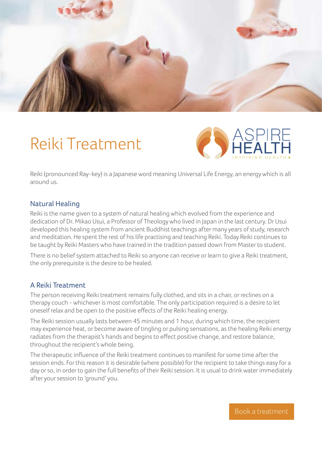

# Reiki Treatment



Reiki (pronounced Ray-key) is a Japanese word meaning Universal Life Energy, an energy which is all around us.

## Natural Healing

Reiki is the name given to a system of natural healing which evolved from the experience and dedication of Dr. Mikao Usui, a Professor of Theology who lived in Japan in the last century. Dr Usui developed this healing system from ancient Buddhist teachings after many years of study, research and meditation. He spent the rest of his life practising and teaching Reiki. Today Reiki continues to be taught by Reiki Masters who have trained in the tradition passed down from Master to student.

There is no belief system attached to Reiki so anyone can receive or learn to give a Reiki treatment, the only prerequisite is the desire to be healed.

### A Reiki Treatment

The person receiving Reiki treatment remains fully clothed, and sits in a chair, or reclines on a therapy couch - whichever is most comfortable. The only participation required is a desire to let oneself relax and be open to the positive effects of the Reiki healing energy.

The Reiki session usually lasts between 45 minutes and 1 hour, during which time, the recipient may experience heat, or become aware of tingling or pulsing sensations, as the healing Reiki energy radiates from the therapist's hands and begins to effect positive change, and restore balance, throughout the recipient's whole being.

The therapeutic influence of the Reiki treatment continues to manifest for some time after the session ends. For this reason it is desirable (where possible) for the recipient to take things easy for a day or so, in order to gain the full benefits of their Reiki session. It is usual to drink water immediately after your session to 'ground' you.